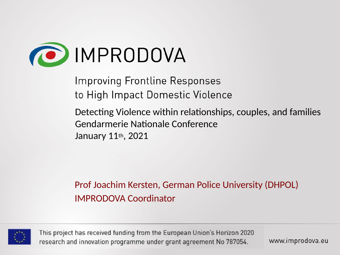

**Improving Frontline Responses** to High Impact Domestic Violence

Detecting Violence within relationships, couples, and families Gendarmerie Natonale Conference January 11th, 2021

Prof Joachim Kersten, German Police University (DHPOL) IMPRODOVA Coordinator



This project has received funding from the European Union's Horizon 2020 research and innovation programme under grant agreement No 787054.

www.improdova.eu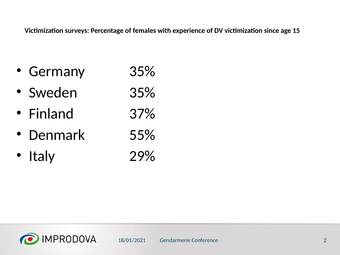Victimization surveys: Percentage of females with experience of DV victimization since age 15

- Germany 35%
- Sweden 35%
- Finland 37%
- Denmark 55%
- Italy 29%

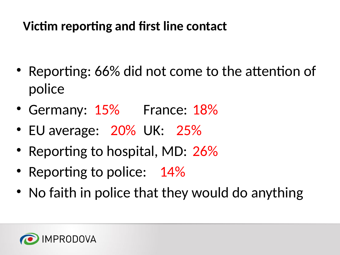# **Victim reporting and first line contact**

- Reporting: 66% did not come to the attention of police
- Germany: 15% France: 18%
- EU average: 20% UK: 25%
- Reporting to hospital, MD: 26%
- Reporting to police: 14%
- No faith in police that they would do anything

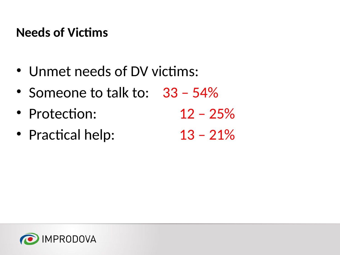#### **Needs of Victims**

- Unmet needs of DV victims:
- Someone to talk to: 33 54%
- Protection: 12 25%
- Practical help:  $13 21\%$

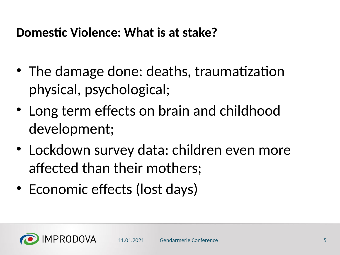#### **Domestic Violence: What is at stake?**

- The damage done: deaths, traumatization physical, psychological;
- Long term effects on brain and childhood development;
- Lockdown survey data: children even more afected than their mothers;
- Economic effects (lost days)

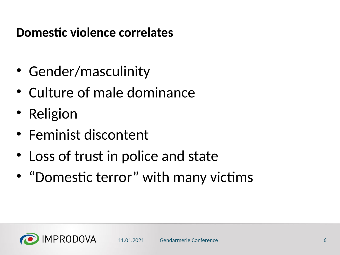#### **Domestic violence correlates**

- Gender/masculinity
- Culture of male dominance
- Religion
- Feminist discontent
- Loss of trust in police and state
- "Domestic terror" with many victims

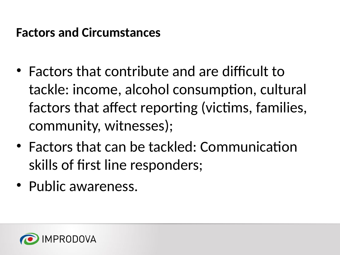#### **Factors and Circumstances**

- $\bullet$  Factors that contribute and are difficult to tackle: income, alcohol consumption, cultural factors that affect reporting (victims, families, community, witnesses);
- Factors that can be tackled: Communication skills of first line responders;
- Public awareness.

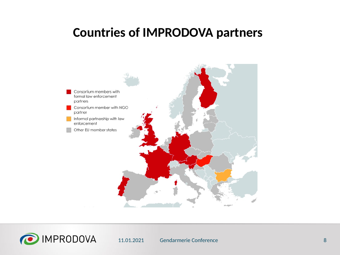#### **Countries of IMPRODOVA partners**





11.01.2021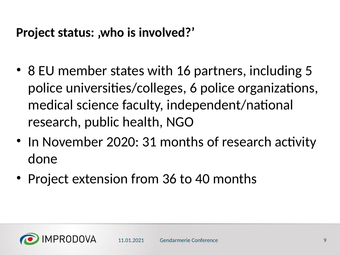#### **Project status: ,who is involved?'**

- 8 EU member states with 16 partners, including 5 police universities/colleges, 6 police organizations, medical science faculty, independent/national research, public health, NGO
- In November 2020: 31 months of research activity done
- Project extension from 36 to 40 months

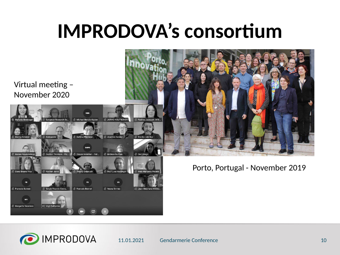# **IMPRODOVA's consortium**





11.01.2021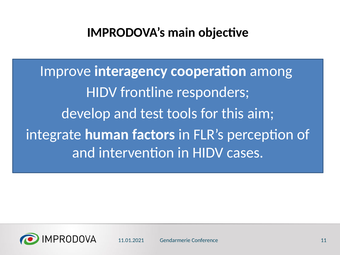#### **IMPRODOVA's main objective**

**Improve interagency cooperation** among HIDV frontline responders; develop and test tools for this aim; integrate **human factors** in FLR's perception of and interventon in HIDV cases.

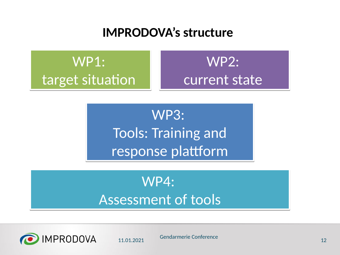#### **IMPRODOVA's structure**

WP1: WP1: target situation

# WP2: WP2: current state current state

WP3: WP3: Tools: Training and Tools: Training and response plattform

# WP4: WP4: Assessment of tools Assessment of tools



11.01.2021 Gendarmerie Conference <sup>12</sup>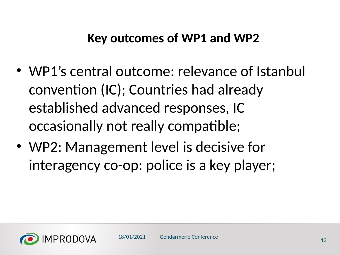#### **Key outcomes of WP1 and WP2**

- WP1's central outcome: relevance of Istanbul conventon (IC); Countries had already established advanced responses, IC occasionally not really compatble;
- WP2: Management level is decisive for interagency co-op: police is a key player;

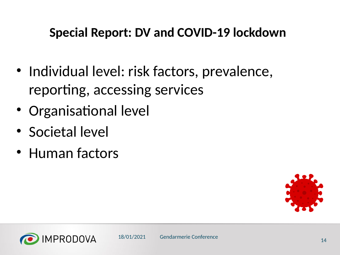### **Special Report: DV and COVID-19 lockdown**

- Individual level: risk factors, prevalence, reporting, accessing services
- Organisational level
- Societal level
- Human factors



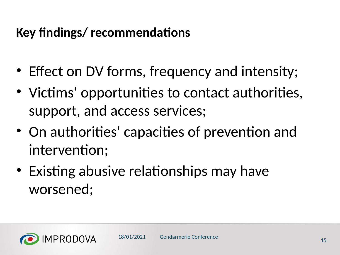- Effect on DV forms, frequency and intensity;
- Victims' opportunities to contact authorities, support, and access services;
- On authorities' capacities of prevention and intervention:
- Existing abusive relationships may have worsened;

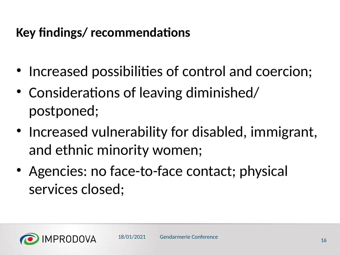- Increased possibilities of control and coercion;
- Considerations of leaving diminished/ postponed;
- Increased vulnerability for disabled, immigrant, and ethnic minority women;
- Agencies: no face-to-face contact; physical services closed;

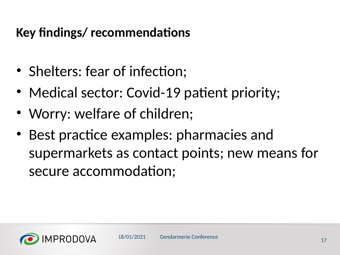- Shelters: fear of infection;
- Medical sector: Covid-19 patient priority;
- Worry: welfare of children;
- Best practice examples: pharmacies and supermarkets as contact points; new means for secure accommodation;

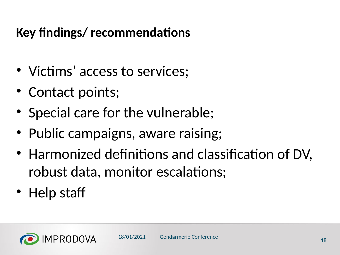- Victims' access to services;
- Contact points;
- Special care for the vulnerable;
- Public campaigns, aware raising;
- Harmonized definitions and classification of DV, robust data, monitor escalations;
- Help staff